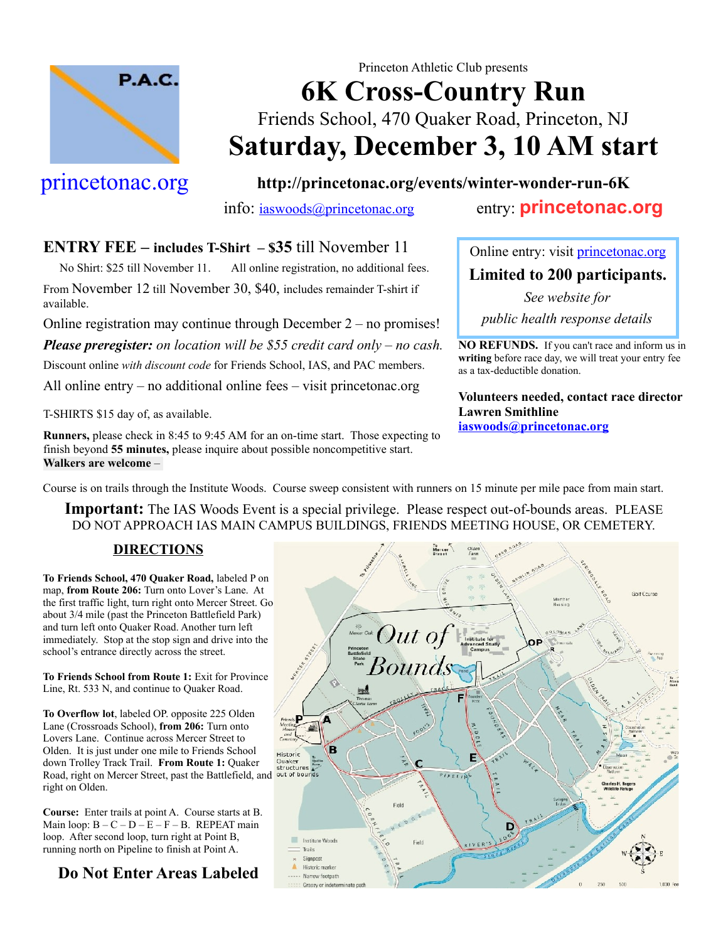

# Princeton Athletic Club presents **6K Cross-Country Run** Friends School, 470 Quaker Road, Princeton, NJ **Saturday, December 3, 10 AM start**

## [princetonac.org](http://www.princetonac.org/)

**<http://princetonac.org/events/winter-wonder-run-6K>**

### info: [iaswoods@princetonac.org](mailto:iaswoods@princetonac.org) entry: **[princetonac.org](http://www.princetonac.org/)**

#### **ENTRY FEE – includes T-Shirt – \$35** till November 11

 No Shirt: \$25 till November 11. All online registration, no additional fees. From November 12 till November 30, \$40, includes remainder T-shirt if available.

Online registration may continue through December 2 – no promises!

*Please preregister: on location will be \$55 credit card only – no cash.*

Discount online *with discount code* for Friends School, IAS, and PAC members.

All online entry – no additional online fees – visit princetonac.org

T-SHIRTS \$15 day of, as available.

**Runners,** please check in 8:45 to 9:45 AM for an on-time start. Those expecting to finish beyond **55 minutes,** please inquire about possible noncompetitive start. **Walkers are welcome** –

Online entry: visit *princetonac.org* **Limited to 200 participants.**

*See website for public health response details*

**NO REFUNDS.** If you can't race and inform us in **writing** before race day, we will treat your entry fee as a tax-deductible donation.

**Volunteers needed, contact race director Lawren Smithline [iaswoods@princetonac.org](mailto:iaswoods@princetonac.org)**

Course is on trails through the Institute Woods. Course sweep consistent with runners on 15 minute per mile pace from main start.

**Important:** The IAS Woods Event is a special privilege. Please respect out-of-bounds areas. PLEASE DO NOT APPROACH IAS MAIN CAMPUS BUILDINGS, FRIENDS MEETING HOUSE, OR CEMETERY.

#### **DIRECTIONS**

**To Friends School, 470 Quaker Road,** labeled P on map, **from Route 206:** Turn onto Lover's Lane. At the first traffic light, turn right onto Mercer Street. Go about 3/4 mile (past the Princeton Battlefield Park) and turn left onto Quaker Road. Another turn left immediately. Stop at the stop sign and drive into the school's entrance directly across the street.

**To Friends School from Route 1:** Exit for Province Line, Rt. 533 N, and continue to Quaker Road.

**To Overflow lot**, labeled OP. opposite 225 Olden Lane (Crossroads School), **from 206:** Turn onto Lovers Lane. Continue across Mercer Street to Olden. It is just under one mile to Friends School down Trolley Track Trail. **From Route 1:** Quaker Road, right on Mercer Street, past the Battlefield, and right on Olden.

**Course:** Enter trails at point A. Course starts at B. Main loop:  $B - C - D - E - F - B$ . REPEAT main loop. After second loop, turn right at Point B, running north on Pipeline to finish at Point A.

**Do Not Enter Areas Labeled**